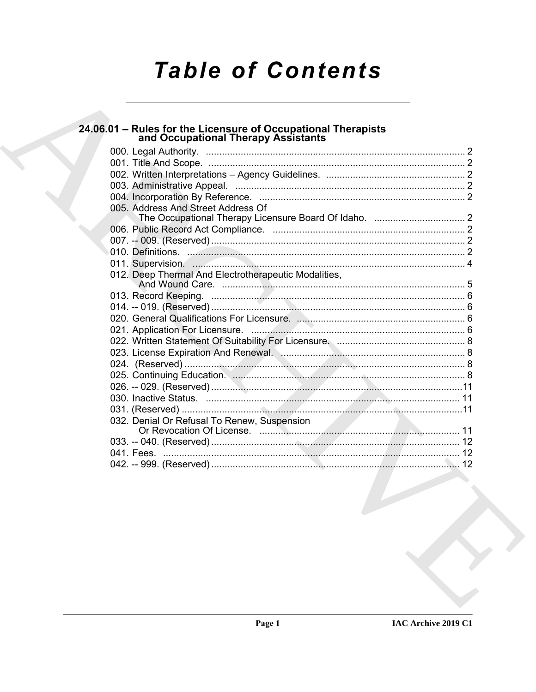# **Table of Contents**

| 24.06.01 - Rules for the Licensure of Occupational Therapists<br>and Occupational Therapy Assistants |  |
|------------------------------------------------------------------------------------------------------|--|
|                                                                                                      |  |
|                                                                                                      |  |
|                                                                                                      |  |
|                                                                                                      |  |
|                                                                                                      |  |
| 005. Address And Street Address Of                                                                   |  |
|                                                                                                      |  |
|                                                                                                      |  |
|                                                                                                      |  |
|                                                                                                      |  |
|                                                                                                      |  |
| 012. Deep Thermal And Electrotherapeutic Modalities,                                                 |  |
|                                                                                                      |  |
|                                                                                                      |  |
|                                                                                                      |  |
|                                                                                                      |  |
|                                                                                                      |  |
|                                                                                                      |  |
|                                                                                                      |  |
|                                                                                                      |  |
|                                                                                                      |  |
|                                                                                                      |  |
|                                                                                                      |  |
| 032. Denial Or Refusal To Renew, Suspension                                                          |  |
|                                                                                                      |  |
|                                                                                                      |  |
|                                                                                                      |  |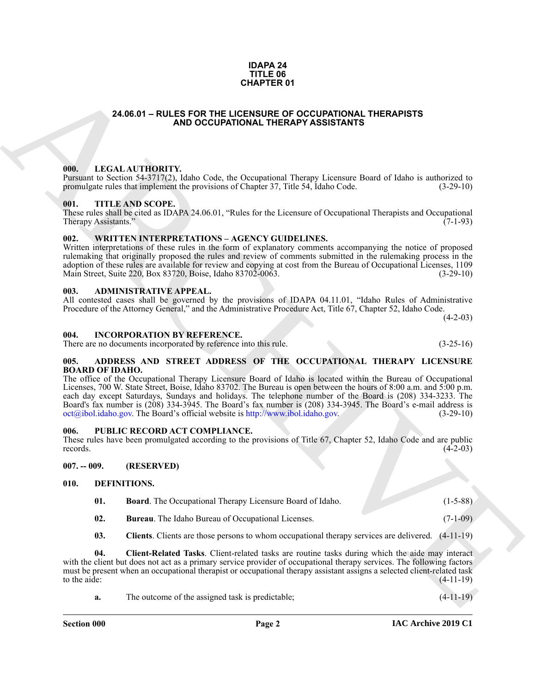#### **IDAPA 24 TITLE 06 CHAPTER 01**

#### <span id="page-1-0"></span>**24.06.01 – RULES FOR THE LICENSURE OF OCCUPATIONAL THERAPISTS AND OCCUPATIONAL THERAPY ASSISTANTS**

#### <span id="page-1-18"></span><span id="page-1-1"></span>**000. LEGAL AUTHORITY.**

Pursuant to Section 54-3717(2), Idaho Code, the Occupational Therapy Licensure Board of Idaho is authorized to promulgate rules that implement the provisions of Chapter 37, Title 54, Idaho Code. (3-29-10) promulgate rules that implement the provisions of Chapter 37, Title 54, Idaho Code.

#### <span id="page-1-20"></span><span id="page-1-2"></span>**001. TITLE AND SCOPE.**

These rules shall be cited as IDAPA 24.06.01, "Rules for the Licensure of Occupational Therapists and Occupational Therapy Assistants."

#### <span id="page-1-21"></span><span id="page-1-3"></span>**002. WRITTEN INTERPRETATIONS – AGENCY GUIDELINES.**

Written interpretations of these rules in the form of explanatory comments accompanying the notice of proposed rulemaking that originally proposed the rules and review of comments submitted in the rulemaking process in the adoption of these rules are available for review and copying at cost from the Bureau of Occupational Licenses, 1109 Main Street, Suite 220, Box 83720, Boise, Idaho 83702-0063. (3-29-10)

#### <span id="page-1-11"></span><span id="page-1-4"></span>**003. ADMINISTRATIVE APPEAL.**

All contested cases shall be governed by the provisions of IDAPA 04.11.01, "Idaho Rules of Administrative Procedure of the Attorney General," and the Administrative Procedure Act, Title 67, Chapter 52, Idaho Code.

 $(4-2-03)$ 

#### <span id="page-1-17"></span><span id="page-1-5"></span>**004. INCORPORATION BY REFERENCE.**

There are no documents incorporated by reference into this rule. (3-25-16)

#### <span id="page-1-10"></span><span id="page-1-6"></span>**005. ADDRESS AND STREET ADDRESS OF THE OCCUPATIONAL THERAPY LICENSURE BOARD OF IDAHO.**

**CHAPTER 01**<br> **CHAPTER ON THE LIGHERATION ALTHERAPY ASSISTANTS**<br> **CHAPTER CONTROVAL THERAPY ASSISTANTS**<br> **CHAPTER CONTROVAL THE RAPY ASSISTANTS**<br> **CHAPTER CONTROVAL THE RAPY ASSISTANTS**<br> **CHAPTER CONTROVAL THE RAPY ASSIST** The office of the Occupational Therapy Licensure Board of Idaho is located within the Bureau of Occupational Licenses, 700 W. State Street, Boise, Idaho 83702. The Bureau is open between the hours of 8:00 a.m. and 5:00 p.m. each day except Saturdays, Sundays and holidays. The telephone number of the Board is (208) 334-3233. The Board's fax number is (208) 334-3945. The Board's fax number is (208) 334-3945. The Board's e-mail address is oct@ibol.idaho.gov. The Board's official website is http://www.ibol.idaho.gov. (3-29-10)

#### <span id="page-1-19"></span><span id="page-1-7"></span>**006. PUBLIC RECORD ACT COMPLIANCE.**

These rules have been promulgated according to the provisions of Title 67, Chapter 52, Idaho Code and are public records. (4-2-03) records.  $(4-2-03)$ 

<span id="page-1-8"></span>**007. -- 009. (RESERVED)**

#### <span id="page-1-9"></span>**010. DEFINITIONS.**

- <span id="page-1-13"></span><span id="page-1-12"></span>**01. Board**. The Occupational Therapy Licensure Board of Idaho. (1-5-88)
- <span id="page-1-14"></span>**02. Bureau**. The Idaho Bureau of Occupational Licenses. (7-1-09)
- <span id="page-1-16"></span><span id="page-1-15"></span>**03. Clients**. Clients are those persons to whom occupational therapy services are delivered. (4-11-19)

**04. Client-Related Tasks**. Client-related tasks are routine tasks during which the aide may interact with the client but does not act as a primary service provider of occupational therapy services. The following factors must be present when an occupational therapist or occupational therapy assistant assigns a selected client-related task to the aide:  $(4-11-19)$ 

| а. | The outcome of the assigned task is predictable: | $(4-11-19)$ |
|----|--------------------------------------------------|-------------|
|----|--------------------------------------------------|-------------|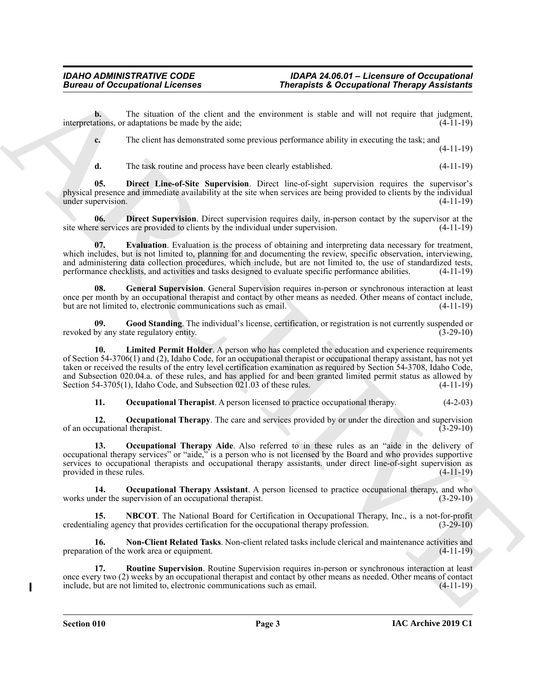**b.** The situation of the client and the environment is stable and will not require that judgment, interpretations, or adaptations be made by the aide; (4-11-19)

**c.** The client has demonstrated some previous performance ability in executing the task; and

(4-11-19)

<span id="page-2-1"></span><span id="page-2-0"></span>**d.** The task routine and process have been clearly established. (4-11-19)

**05. Direct Line-of-Site Supervision**. Direct line-of-sight supervision requires the supervisor's physical presence and immediate availability at the site when services are being provided to clients by the individual under supervision. (4-11-19)

**06. Direct Supervision**. Direct supervision requires daily, in-person contact by the supervisor at the site where services are provided to clients by the individual under supervision. (4-11-19)

<span id="page-2-2"></span>**07. Evaluation**. Evaluation is the process of obtaining and interpreting data necessary for treatment, which includes, but is not limited to, planning for and documenting the review, specific observation, interviewing, and administering data collection procedures, which include, but are not limited to, the use of standardized tests, performance checklists, and activities and tasks designed to evaluate specific performance abilities. (4-11-19)

<span id="page-2-3"></span>**08. General Supervision**. General Supervision requires in-person or synchronous interaction at least once per month by an occupational therapist and contact by other means as needed. Other means of contact include, but are not limited to, electronic communications such as email. (4-11-19)

<span id="page-2-5"></span><span id="page-2-4"></span>**09. Good Standing**. The individual's license, certification, or registration is not currently suspended or revoked by any state regulatory entity. (3-29-10)

**Example the contribution of the contribution of the contribution of the contribution of the contribution of the contribution of the contribution of the contribution of the contribution of the contribution of the contribu 10.** Limited Permit Holder. A person who has completed the education and experience requirements of Section 54-3706(1) and (2), Idaho Code, for an occupational therapist or occupational therapy assistant, has not yet taken or received the results of the entry level certification examination as required by Section 54-3708, Idaho Code, and Subsection 020.04.a. of these rules, and has applied for and been granted limited permit status as allowed by Section 54-3705(1), Idaho Code, and Subsection 021.03 of these rules. (4-11-19)

<span id="page-2-10"></span><span id="page-2-9"></span><span id="page-2-8"></span>**11. Occupational Therapist**. A person licensed to practice occupational therapy. (4-2-03)

**12. Occupational Therapy**. The care and services provided by or under the direction and supervision of an occupational therapist. (3-29-10)

**13. Occupational Therapy Aide**. Also referred to in these rules as an "aide in the delivery of occupational therapy services" or "aide," is a person who is not licensed by the Board and who provides supportive services to occupational therapists and occupational therapy assistants. under direct line-of-sight supervision as provided in these rules. (4-11-19)

<span id="page-2-11"></span>**14. Occupational Therapy Assistant**. A person licensed to practice occupational therapy, and who der the supervision of an occupational therapist. (3-29-10) works under the supervision of an occupational therapist.

<span id="page-2-6"></span>**15. NBCOT**. The National Board for Certification in Occupational Therapy, Inc., is a not-for-profit credentialing agency that provides certification for the occupational therapy profession. (3-29-10)

<span id="page-2-7"></span>**16. Non-Client Related Tasks**. Non-client related tasks include clerical and maintenance activities and preparation of the work area or equipment. (4-11-19)

<span id="page-2-12"></span>**17. Routine Supervision**. Routine Supervision requires in-person or synchronous interaction at least once every two (2) weeks by an occupational therapist and contact by other means as needed. Other means of contact include, but are not limited to, electronic communications such as email.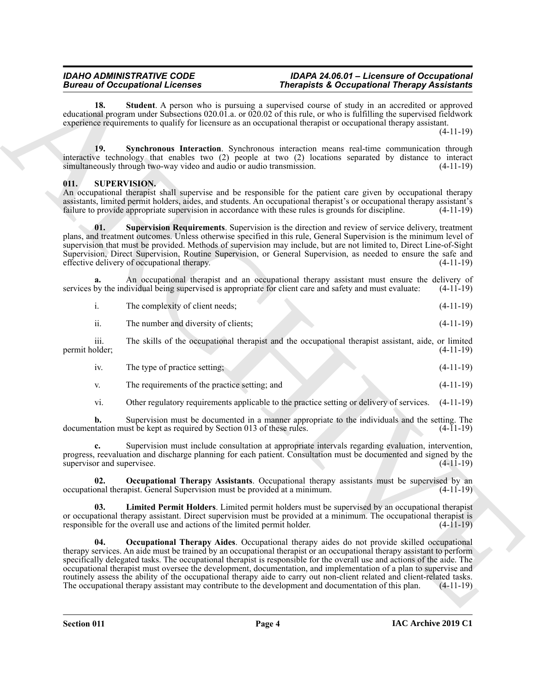#### *IDAHO ADMINISTRATIVE CODE IDAPA 24.06.01 – Licensure of Occupational Fherapists & Occupational Therapy Assistants*

<span id="page-3-1"></span>**18. Student**. A person who is pursuing a supervised course of study in an accredited or approved educational program under Subsections 020.01.a. or 020.02 of this rule, or who is fulfilling the supervised fieldwork experience requirements to qualify for licensure as an occupational therapist or occupational therapy assistant.

(4-11-19)

<span id="page-3-2"></span>**19. Synchronous Interaction**. Synchronous interaction means real-time communication through interactive technology that enables two (2) people at two (2) locations separated by distance to interact simultaneously through two-way video and audio or audio transmission. (4-11-19)

### <span id="page-3-3"></span><span id="page-3-0"></span>**011. SUPERVISION.**

An occupational therapist shall supervise and be responsible for the patient care given by occupational therapy assistants, limited permit holders, aides, and students. An occupational therapist's or occupational therapy assistant's failure to provide appropriate supervision in accordance with these rules is grounds for discipline.

<span id="page-3-7"></span>**01. Supervision Requirements**. Supervision is the direction and review of service delivery, treatment plans, and treatment outcomes. Unless otherwise specified in this rule, General Supervision is the minimum level of supervision that must be provided. Methods of supervision may include, but are not limited to, Direct Line-of-Sight Supervision, Direct Supervision, Routine Supervision, or General Supervision, as needed to ensure the safe and effective delivery of occupational therapy. (4-11-19)

**a.** An occupational therapist and an occupational therapy assistant must ensure the delivery of by the individual being supervised is appropriate for client care and safety and must evaluate: (4-11-19) services by the individual being supervised is appropriate for client care and safety and must evaluate:

| The complexity of client needs: | $(4-11-19)$ |
|---------------------------------|-------------|
|                                 |             |

ii. The number and diversity of clients; (4-11-19)

iii. The skills of the occupational therapist and the occupational therapist assistant, aide, or limited permit holder;

| . | The type of practice setting; |  | $(4-11-19)$ |
|---|-------------------------------|--|-------------|
|   |                               |  |             |

v. The requirements of the practice setting; and (4-11-19)

vi. Other regulatory requirements applicable to the practice setting or delivery of services. (4-11-19)

**b.** Supervision must be documented in a manner appropriate to the individuals and the setting. The tation must be kept as required by Section 013 of these rules. (4-11-19) documentation must be kept as required by Section 013 of these rules.

**c.** Supervision must include consultation at appropriate intervals regarding evaluation, intervention, progress, reevaluation and discharge planning for each patient. Consultation must be documented and signed by the supervisor and supervisee. (4-11-19)

<span id="page-3-6"></span>**02. Occupational Therapy Assistants**. Occupational therapy assistants must be supervised by an occupational therapist. General Supervision must be provided at a minimum. (4-11-19)

<span id="page-3-5"></span><span id="page-3-4"></span>**03. Limited Permit Holders**. Limited permit holders must be supervised by an occupational therapist or occupational therapy assistant. Direct supervision must be provided at a minimum. The occupational therapist is responsible for the overall use and actions of the limited permit holder. (4-11-19) responsible for the overall use and actions of the limited permit holder.

Bureau al Cocapabient Leonix (and the proposite Schemelter Meridian Theorem and the proposite Schemelter (and the schemelter of the schemelter of the schemelter of the schemelter of the schemelter of the schemelter of the **04. Occupational Therapy Aides**. Occupational therapy aides do not provide skilled occupational therapy services. An aide must be trained by an occupational therapist or an occupational therapy assistant to perform specifically delegated tasks. The occupational therapist is responsible for the overall use and actions of the aide. The occupational therapist must oversee the development, documentation, and implementation of a plan to supervise and routinely assess the ability of the occupational therapy aide to carry out non-client related and client-related tasks. The occupational therapy assistant may contribute to the development and documentation of this plan. (4-11-19)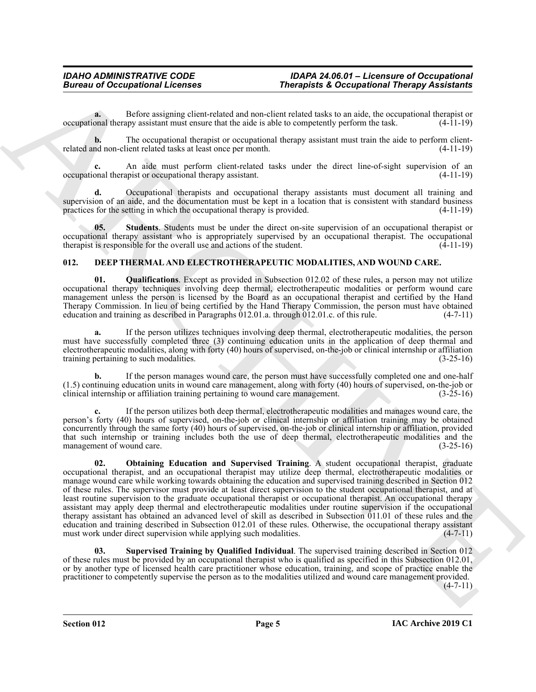**a.** Before assigning client-related and non-client related tasks to an aide, the occupational therapist or occupational therapy assistant must ensure that the aide is able to competently perform the task. (4-11-19)

**b.** The occupational therapist or occupational therapy assistant must train the aide to perform clientrelated and non-client related tasks at least once per month. (4-11-19)

**c.** An aide must perform client-related tasks under the direct line-of-sight supervision of an occupational therapist or occupational therapy assistant. (4-11-19)

**d.** Occupational therapists and occupational therapy assistants must document all training and supervision of an aide, and the documentation must be kept in a location that is consistent with standard business practices for the setting in which the occupational therapy is provided. (4-11-19) practices for the setting in which the occupational therapy is provided.

<span id="page-4-5"></span>**05. Students**. Students must be under the direct on-site supervision of an occupational therapist or occupational therapy assistant who is appropriately supervised by an occupational therapist. The occupational therapist is responsible for the overall use and actions of the student.

#### <span id="page-4-1"></span><span id="page-4-0"></span>**012. DEEP THERMAL AND ELECTROTHERAPEUTIC MODALITIES, AND WOUND CARE.**

<span id="page-4-3"></span>**01. Qualifications**. Except as provided in Subsection 012.02 of these rules, a person may not utilize occupational therapy techniques involving deep thermal, electrotherapeutic modalities or perform wound care management unless the person is licensed by the Board as an occupational therapist and certified by the Hand Therapy Commission. In lieu of being certified by the Hand Therapy Commission, the person must have obtained education and training as described in Paragraphs 012.01.a. through 012.01.c. of this rule. (4-7-11) education and training as described in Paragraphs  $\dot{0}12.01$  a. through  $\dot{0}12.01$  c. of this rule.

**a.** If the person utilizes techniques involving deep thermal, electrotherapeutic modalities, the person must have successfully completed three (3) continuing education units in the application of deep thermal and electrotherapeutic modalities, along with forty (40) hours of supervised, on-the-job or clinical internship or affiliation training pertaining to such modalities. (3-25-16)

**b.** If the person manages wound care, the person must have successfully completed one and one-half (1.5) continuing education units in wound care management, along with forty (40) hours of supervised, on-the-job or clinical internship or affiliation training pertaining to wound care management. (3-25-16)

<span id="page-4-2"></span>**c.** If the person utilizes both deep thermal, electrotherapeutic modalities and manages wound care, the person's forty (40) hours of supervised, on-the-job or clinical internship or affiliation training may be obtained concurrently through the same forty (40) hours of supervised, on-the-job or clinical internship or affiliation, provided that such internship or training includes both the use of deep thermal, electrotherapeutic modalities and the management of wound care. (3-25-16) management of wound care.

Bureau of Occupational Leonies Theospheric Recordstrain Theospheric Records and the set of the computer of the computer of the computer of the computer of the computer of the computer of the computer of the computer of th **02. Obtaining Education and Supervised Training**. A student occupational therapist, graduate occupational therapist, and an occupational therapist may utilize deep thermal, electrotherapeutic modalities or manage wound care while working towards obtaining the education and supervised training described in Section 012 of these rules. The supervisor must provide at least direct supervision to the student occupational therapist, and at least routine supervision to the graduate occupational therapist or occupational therapist. An occupational therapy assistant may apply deep thermal and electrotherapeutic modalities under routine supervision if the occupational therapy assistant has obtained an advanced level of skill as described in Subsection 011.01 of these rules and the education and training described in Subsection 012.01 of these rules. Otherwise, the occupational therapy assistant must work under direct supervision while applying such modalities. (4-7-11) must work under direct supervision while applying such modalities.

<span id="page-4-4"></span>**03. Supervised Training by Qualified Individual**. The supervised training described in Section 012 of these rules must be provided by an occupational therapist who is qualified as specified in this Subsection 012.01, or by another type of licensed health care practitioner whose education, training, and scope of practice enable the practitioner to competently supervise the person as to the modalities utilized and wound care management provided.  $(4 - 7 - 11)$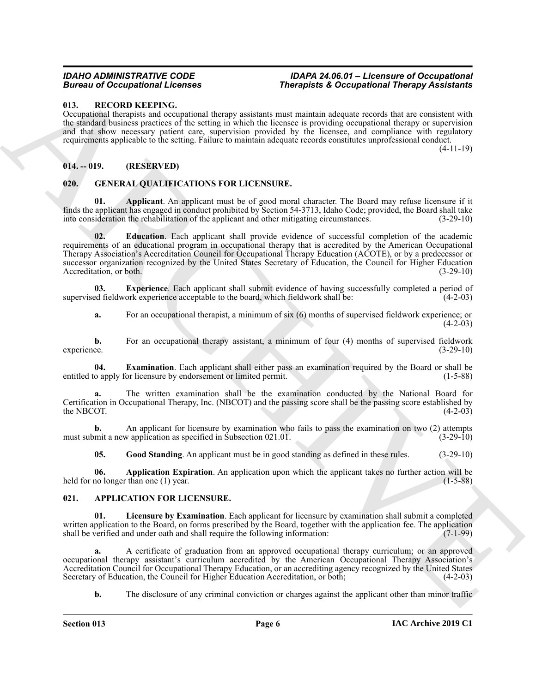#### <span id="page-5-13"></span><span id="page-5-0"></span>**013. RECORD KEEPING.**

Occupational therapists and occupational therapy assistants must maintain adequate records that are consistent with the standard business practices of the setting in which the licensee is providing occupational therapy or supervision and that show necessary patient care, supervision provided by the licensee, and compliance with regulatory requirements applicable to the setting. Failure to maintain adequate records constitutes unprofessional conduct.

(4-11-19)

### <span id="page-5-1"></span>**014. -- 019. (RESERVED)**

#### <span id="page-5-6"></span><span id="page-5-2"></span>**020. GENERAL QUALIFICATIONS FOR LICENSURE.**

<span id="page-5-9"></span><span id="page-5-7"></span>**01. Applicant**. An applicant must be of good moral character. The Board may refuse licensure if it finds the applicant has engaged in conduct prohibited by Section 54-3713, Idaho Code; provided, the Board shall take into consideration the rehabilitation of the applicant and other mitigating circumstances. (3-29-10)

**Example of Consequential frequencies in The equipment of December of The ARCHIVES Consequence in the set of Consequence in the set of Consequence in the set of Consequence in the set of Consequence in the set of Conseque 02. Education**. Each applicant shall provide evidence of successful completion of the academic requirements of an educational program in occupational therapy that is accredited by the American Occupational Therapy Association's Accreditation Council for Occupational Therapy Education (ACOTE), or by a predecessor or successor organization recognized by the United States Secretary of Education, the Council for Higher Education<br>(3-29-10) (3-29-10) Accreditation, or both.

**03. Experience**. Each applicant shall submit evidence of having successfully completed a period of ed fieldwork experience acceptable to the board, which fieldwork shall be: (4-2-03) supervised fieldwork experience acceptable to the board, which fieldwork shall be:

<span id="page-5-11"></span><span id="page-5-10"></span>**a.** For an occupational therapist, a minimum of six (6) months of supervised fieldwork experience; or  $(4-2-03)$ 

**b.** For an occupational therapy assistant, a minimum of four (4) months of supervised fieldwork ce. (3-29-10) experience. (3-29-10)

**04. Examination**. Each applicant shall either pass an examination required by the Board or shall be entitled to apply for licensure by endorsement or limited permit. (1-5-88)

**a.** The written examination shall be the examination conducted by the National Board for Certification in Occupational Therapy, Inc. (NBCOT) and the passing score shall be the passing score established by the NBCOT.  $(4-2-03)$ 

**b.** An applicant for licensure by examination who fails to pass the examination on two (2) attempts must submit a new application as specified in Subsection 021.01. (3-29-10) (3-29-10)

<span id="page-5-12"></span><span id="page-5-8"></span><span id="page-5-5"></span>**05. Good Standing**. An applicant must be in good standing as defined in these rules. (3-29-10)

**06. Application Expiration**. An application upon which the applicant takes no further action will be no longer than one (1) year. held for no longer than one (1) year.

#### <span id="page-5-4"></span><span id="page-5-3"></span>**021. APPLICATION FOR LICENSURE.**

**Licensure by Examination**. Each applicant for licensure by examination shall submit a completed written application to the Board, on forms prescribed by the Board, together with the application fee. The application shall be verified and under oath and shall require the following information: (7-1-99) shall be verified and under oath and shall require the following information:

**a.** A certificate of graduation from an approved occupational therapy curriculum; or an approved occupational therapy assistant's curriculum accredited by the American Occupational Therapy Association's Accreditation Council for Occupational Therapy Education, or an accrediting agency recognized by the United States<br>Secretary of Education, the Council for Higher Education Accreditation, or both; (4-2-03) Secretary of Education, the Council for Higher Education Accreditation, or both;

**b.** The disclosure of any criminal conviction or charges against the applicant other than minor traffic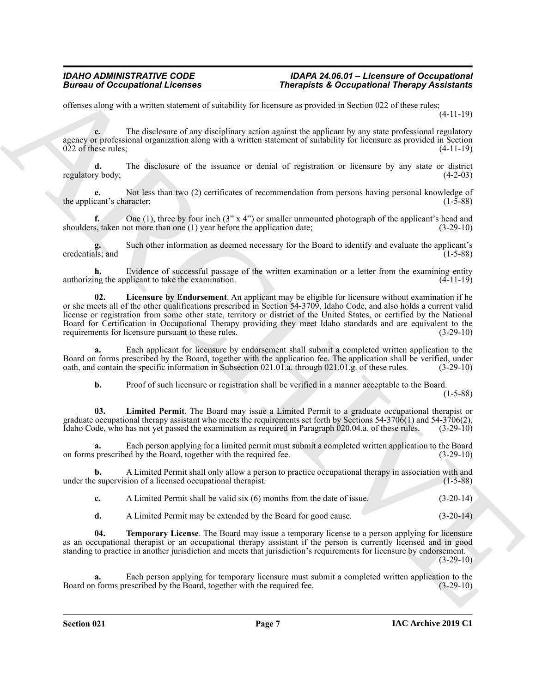offenses along with a written statement of suitability for licensure as provided in Section 022 of these rules; (4-11-19)

**c.** The disclosure of any disciplinary action against the applicant by any state professional regulatory agency or professional organization along with a written statement of suitability for licensure as provided in Section  $022$  of these rules;  $(4-11-19)$ 

**d.** The disclosure of the issuance or denial of registration or licensure by any state or district regulatory body; (4-2-03)

**e.** Not less than two (2) certificates of recommendation from persons having personal knowledge of the applicant's character; (1-5-88) (1-5-88)

**f.** One (1), three by four inch (3" x 4") or smaller unmounted photograph of the applicant's head and shoulders, taken not more than one (1) year before the application date; (3-29-10)

**g.** Such other information as deemed necessary for the Board to identify and evaluate the applicant's credentials; and (1-5-88)

<span id="page-6-0"></span>**h.** Evidence of successful passage of the written examination or a letter from the examining entity authorizing the applicant to take the examination. (4-11-19)

**Exceptional Licenses** Theospheric Exceptional Theospheric Exceptional Theospheric Street (11-19)<br>
when the distinct of the distinct of the distinct of the distinct of the distinct of the distinct of the distinct of the d **02. Licensure by Endorsement**. An applicant may be eligible for licensure without examination if he or she meets all of the other qualifications prescribed in Section 54-3709, Idaho Code, and also holds a current valid license or registration from some other state, territory or district of the United States, or certified by the National Board for Certification in Occupational Therapy providing they meet Idaho standards and are equivalent to the requirements for licensure pursuant to these rules. (3-29-10)

**a.** Each applicant for licensure by endorsement shall submit a completed written application to the Board on forms prescribed by the Board, together with the application fee. The application shall be verified, under oath, and contain the specific information in Subsection 021.01.a. through 021.01.g. of these rules. (3-29-10)

<span id="page-6-1"></span>**b.** Proof of such licensure or registration shall be verified in a manner acceptable to the Board.

(1-5-88)

**03. Limited Permit**. The Board may issue a Limited Permit to a graduate occupational therapist or graduate occupational therapy assistant who meets the requirements set forth by Sections 54-3706(1) and 54-3706(2), Idaho Code, who has not yet passed the examination as required in Paragraph 020.04.a. of these rules. (3-29-10)

**a.** Each person applying for a limited permit must submit a completed written application to the Board on forms prescribed by the Board, together with the required fee. (3-29-10)

**b.** A Limited Permit shall only allow a person to practice occupational therapy in association with and e supervision of a licensed occupational therapist. (1-5-88) under the supervision of a licensed occupational therapist.

**c.** A Limited Permit shall be valid six (6) months from the date of issue. (3-20-14)

<span id="page-6-2"></span>**d.** A Limited Permit may be extended by the Board for good cause. (3-20-14)

**04. Temporary License**. The Board may issue a temporary license to a person applying for licensure as an occupational therapist or an occupational therapy assistant if the person is currently licensed and in good standing to practice in another jurisdiction and meets that jurisdiction's requirements for licensure by endorsement.  $(3-29-10)$ 

**a.** Each person applying for temporary licensure must submit a completed written application to the Board on forms prescribed by the Board, together with the required fee. (3-29-10)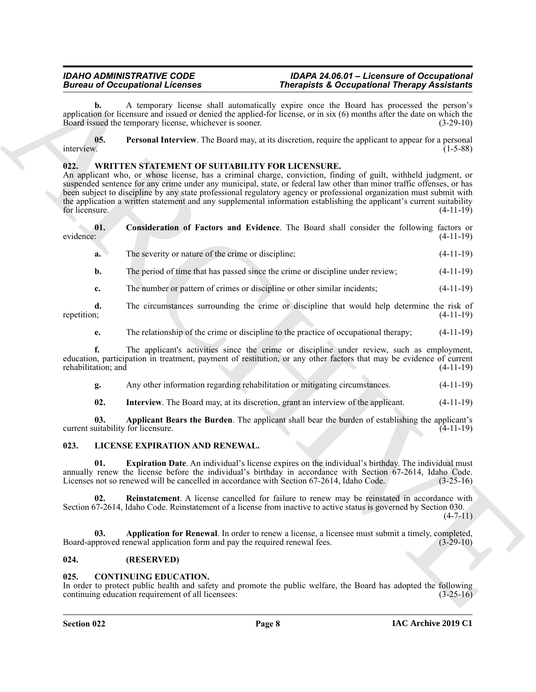#### *IDAHO ADMINISTRATIVE CODE IDAPA 24.06.01 – Licensure of Occupational Bureau of Occupational Licenses Therapists & Occupational Therapy Assistants*

**b.** A temporary license shall automatically expire once the Board has processed the person's application for licensure and issued or denied the applied-for license, or in six (6) months after the date on which the Board issued the temporary license, whichever is sooner. (3-29-10)

<span id="page-7-4"></span>**05. Personal Interview**. The Board may, at its discretion, require the applicant to appear for a personal interview. (1-5-88)

### <span id="page-7-10"></span><span id="page-7-0"></span>**022. WRITTEN STATEMENT OF SUITABILITY FOR LICENSURE.**

Bureau of Occupation Reference<br>
Survey Assembly Control (1991) ange survival and the same of the same of the same of the same of the same of the same of the same of the same of the same of the same of the same of the same An applicant who, or whose license, has a criminal charge, conviction, finding of guilt, withheld judgment, or suspended sentence for any crime under any municipal, state, or federal law other than minor traffic offenses, or has been subject to discipline by any state professional regulatory agency or professional organization must submit with the application a written statement and any supplemental information establishing the applicant's current suitability<br>for licensure. (4-11-19) for licensure.  $(4-11-19)$ 

| evidence: | <b>Consideration of Factors and Evidence.</b> The Board shall consider the following factors or | $(4-11-19)$ |
|-----------|-------------------------------------------------------------------------------------------------|-------------|
|           | The severity or nature of the crime or discipline;                                              | $(4-11-19)$ |

<span id="page-7-12"></span>**b.** The period of time that has passed since the crime or discipline under review; (4-11-19)

**c.** The number or pattern of crimes or discipline or other similar incidents;  $(4-11-19)$ 

**d.** The circumstances surrounding the crime or discipline that would help determine the risk of repetition; (4-11-19) repetition; (4-11-19)

**e.** The relationship of the crime or discipline to the practice of occupational therapy; (4-11-19)

**f.** The applicant's activities since the crime or discipline under review, such as employment, education, participation in treatment, payment of restitution, or any other factors that may be evidence of current rehabilitation; and

**g.** Any other information regarding rehabilitation or mitigating circumstances. (4-11-19)

<span id="page-7-13"></span><span id="page-7-11"></span><span id="page-7-8"></span>**02. Interview**. The Board may, at its discretion, grant an interview of the applicant. (4-11-19)

**03. Applicant Bears the Burden**. The applicant shall bear the burden of establishing the applicant's current suitability for licensure.

#### <span id="page-7-6"></span><span id="page-7-1"></span>**023. LICENSE EXPIRATION AND RENEWAL.**

**01. Expiration Date**. An individual's license expires on the individual's birthday. The individual must annually renew the license before the individual's birthday in accordance with Section 67-2614, Idaho Code.<br>Licenses not so renewed will be cancelled in accordance with Section 67-2614, Idaho Code. (3-25-16) Licenses not so renewed will be cancelled in accordance with Section 67-2614, Idaho Code.

<span id="page-7-9"></span>**02. Reinstatement**. A license cancelled for failure to renew may be reinstated in accordance with Section 67-2614, Idaho Code. Reinstatement of a license from inactive to active status is governed by Section 030.

 $(4 - 7 - 11)$ 

<span id="page-7-7"></span>**03. Application for Renewal**. In order to renew a license, a licensee must submit a timely, completed, Board-approved renewal application form and pay the required renewal fees. (3-29-10)

#### <span id="page-7-2"></span>**024. (RESERVED)**

#### <span id="page-7-5"></span><span id="page-7-3"></span>**025. CONTINUING EDUCATION.**

In order to protect public health and safety and promote the public welfare, the Board has adopted the following continuing education requirement of all licensees: (3-25-16)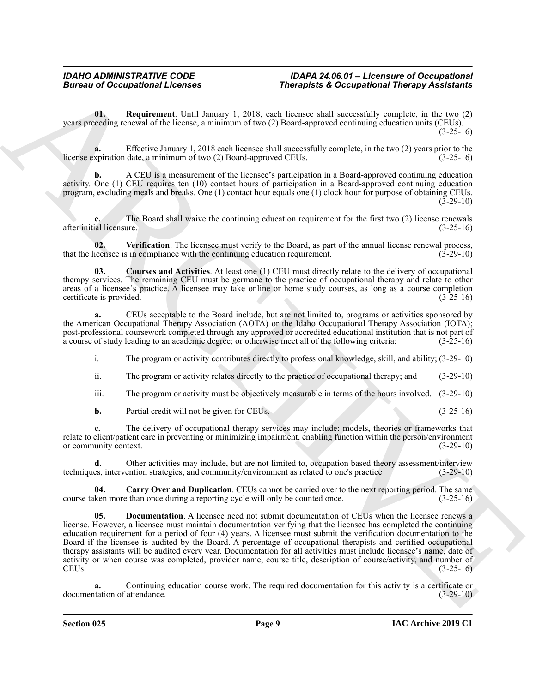<span id="page-8-3"></span>**01. Requirement**. Until January 1, 2018, each licensee shall successfully complete, in the two (2) years preceding renewal of the license, a minimum of two (2) Board-approved continuing education units (CEUs).  $(3-25-16)$ 

**a.** Effective January 1, 2018 each licensee shall successfully complete, in the two (2) years prior to the xpiration date, a minimum of two (2) Board-approved CEUs. (3-25-16) license expiration date, a minimum of two (2) Board-approved CEUs.

**b.** A CEU is a measurement of the licensee's participation in a Board-approved continuing education activity. One (1) CEU requires ten (10) contact hours of participation in a Board-approved continuing education program, excluding meals and breaks. One (1) contact hour equals one (1) clock hour for purpose of obtaining CEUs.  $(3-29-10)$ 

**c.** The Board shall waive the continuing education requirement for the first two (2) license renewals after initial licensure. (3-25-16)

<span id="page-8-4"></span>**02. Verification**. The licensee must verify to the Board, as part of the annual license renewal process, that the licensee is in compliance with the continuing education requirement. (3-29-10)

<span id="page-8-1"></span>**03. Courses and Activities**. At least one (1) CEU must directly relate to the delivery of occupational therapy services. The remaining CEU must be germane to the practice of occupational therapy and relate to other areas of a licensee's practice. A licensee may take online or home study courses, as long as a course completion certificate is provided. (3-25-16) certificate is provided.

**a.** CEUs acceptable to the Board include, but are not limited to, programs or activities sponsored by the American Occupational Therapy Association (AOTA) or the Idaho Occupational Therapy Association (IOTA); post-professional coursework completed through any approved or accredited educational institution that is not part of a course of study leading to an academic degree; or otherwise meet all of the following criteria: (3-25a course of study leading to an academic degree; or otherwise meet all of the following criteria:

i. The program or activity contributes directly to professional knowledge, skill, and ability; (3-29-10)

ii. The program or activity relates directly to the practice of occupational therapy; and (3-29-10)

iii. The program or activity must be objectively measurable in terms of the hours involved. (3-29-10)

**b.** Partial credit will not be given for CEUs. (3-25-16)

**c.** The delivery of occupational therapy services may include: models, theories or frameworks that relate to client/patient care in preventing or minimizing impairment, enabling function within the person/environment<br>or community context. (3-29-10) or community context.

**d.** Other activities may include, but are not limited to, occupation based theory assessment/interview techniques, intervention strategies, and community/environment as related to one's practice (3-29-10)

<span id="page-8-2"></span><span id="page-8-0"></span>**04.** Carry Over and Duplication. CEUs cannot be carried over to the next reporting period. The same ken more than once during a reporting cycle will only be counted once. (3-25-16) course taken more than once during a reporting cycle will only be counted once.

**Except on Conceptions I. Every a measure of the conception of Theorem Conception and Theorem Scheme and the conception of the conception of the conception of the conception of the conception of the conception of the conc Documentation**. A licensee need not submit documentation of CEUs when the licensee renews a license. However, a licensee must maintain documentation verifying that the licensee has completed the continuing education requirement for a period of four (4) years. A licensee must submit the verification documentation to the Board if the licensee is audited by the Board. A percentage of occupational therapists and certified occupational therapy assistants will be audited every year. Documentation for all activities must include licensee's name, date of activity or when course was completed, provider name, course title, description of course/activity, and number of  $CEUs.$  (3-25-16)

**a.** Continuing education course work. The required documentation for this activity is a certificate or documentation of attendance. (3-29-10)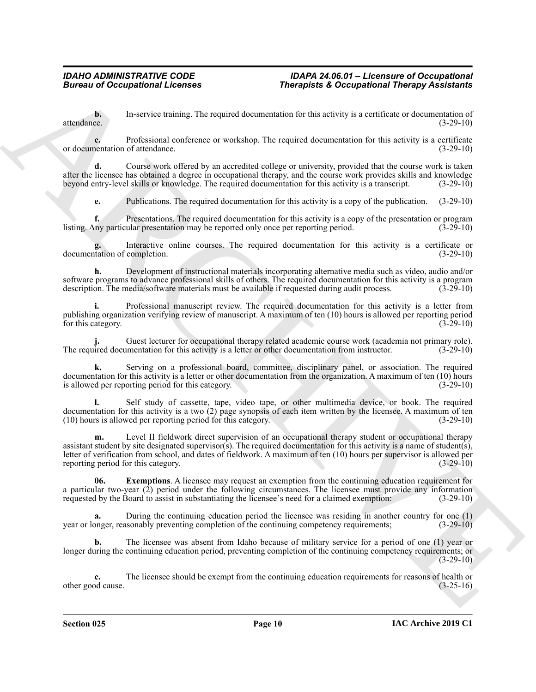**b.** In-service training. The required documentation for this activity is a certificate or documentation of attendance. (3-29-10)

**c.** Professional conference or workshop. The required documentation for this activity is a certificate or documentation of attendance. (3-29-10)

**d.** Course work offered by an accredited college or university, provided that the course work is taken after the licensee has obtained a degree in occupational therapy, and the course work provides skills and knowledge beyond entry-level skills or knowledge. The required documentation for this activity is a transcript. (3-29-10)

**e.** Publications. The required documentation for this activity is a copy of the publication. (3-29-10)

**f.** Presentations. The required documentation for this activity is a copy of the presentation or program listing. Any particular presentation may be reported only once per reporting period. (3-29-10)

**g.** Interactive online courses. The required documentation for this activity is a certificate or documentation of completion. (3-29-10)

**h.** Development of instructional materials incorporating alternative media such as video, audio and/or software programs to advance professional skills of others. The required documentation for this activity is a program<br>description. The media/software materials must be available if requested during audit process. (3-29-10) description. The media/software materials must be available if requested during audit process.

**i.** Professional manuscript review. The required documentation for this activity is a letter from publishing organization verifying review of manuscript. A maximum of ten (10) hours is allowed per reporting period for this category.  $(3-29-10)$ 

**j.** Guest lecturer for occupational therapy related academic course work (academia not primary role). The required documentation for this activity is a letter or other documentation from instructor. (3-29-10)

**k.** Serving on a professional board, committee, disciplinary panel, or association. The required documentation for this activity is a letter or other documentation from the organization. A maximum of ten (10) hours is allowed per reporting period for this category. (3-29-10)

**l.** Self study of cassette, tape, video tape, or other multimedia device, or book. The required documentation for this activity is a two (2) page synopsis of each item written by the licensee. A maximum of ten (10) hours is allowed per reporting period for this category. (3-29-10)

**Exercise of Conceptions I.** Every the system of the system of the system of the system of the system of the system of the system of the system of the system of the system of the system of the system of the system of the **m.** Level II fieldwork direct supervision of an occupational therapy student or occupational therapy assistant student by site designated supervisor(s). The required documentation for this activity is a name of student(s), letter of verification from school, and dates of fieldwork. A maximum of ten (10) hours per supervisor is allowed per reporting period for this category. (3-29-10)

<span id="page-9-0"></span>**06.** Exemptions. A licensee may request an exemption from the continuing education requirement for a particular two-year  $(2)$  period under the following circumstances. The licensee must provide any information requested by the Board to assist in substantiating the licensee's need for a claimed exemption:  $(3-29-10)$ requested by the Board to assist in substantiating the licensee's need for a claimed exemption:

**a.** During the continuing education period the licensee was residing in another country for one (1) year or longer, reasonably preventing completion of the continuing competency requirements; (3-29-10)

**b.** The licensee was absent from Idaho because of military service for a period of one (1) year or longer during the continuing education period, preventing completion of the continuing competency requirements; or  $(3-29-10)$ 

**c.** The licensee should be exempt from the continuing education requirements for reasons of health or od cause.  $(3-25-16)$ other good cause.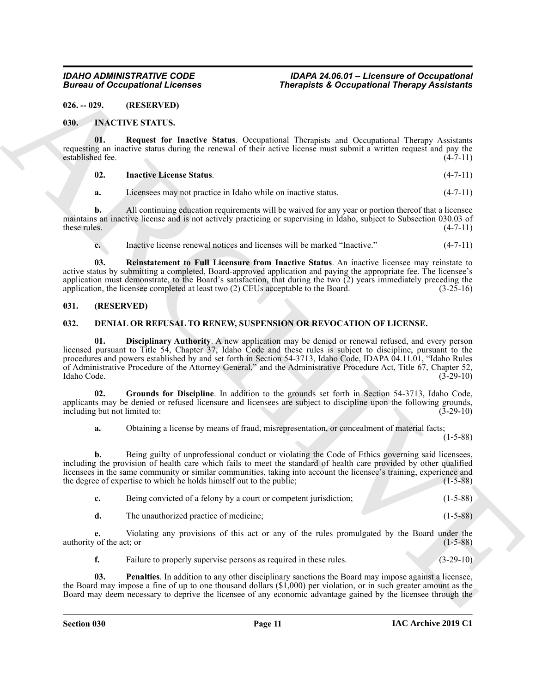#### <span id="page-10-0"></span>**026. -- 029. (RESERVED)**

#### <span id="page-10-8"></span><span id="page-10-1"></span>**030. INACTIVE STATUS.**

**01. Request for Inactive Status**. Occupational Therapists and Occupational Therapy Assistants requesting an inactive status during the renewal of their active license must submit a written request and pay the established fee. (4-7-11) established fee.

#### <span id="page-10-11"></span><span id="page-10-9"></span>**02. Inactive License Status**. (4-7-11)

**a.** Licensees may not practice in Idaho while on inactive status. (4-7-11)

**b.** All continuing education requirements will be waived for any year or portion thereof that a licensee maintains an inactive license and is not actively practicing or supervising in Idaho, subject to Subsection 030.03 of these rules.  $(4-7-11)$ 

<span id="page-10-10"></span>**c.** Inactive license renewal notices and licenses will be marked "Inactive." (4-7-11)

**03. Reinstatement to Full Licensure from Inactive Status**. An inactive licensee may reinstate to active status by submitting a completed, Board-approved application and paying the appropriate fee. The licensee's application must demonstrate, to the Board's satisfaction, that during the two  $\overline{2}$ ) years immediately preceding the application, the licensee completed at least two  $\overline{2}$ ) CEUs acceptable to the Board. (3-25-16) application, the licensee completed at least two  $(2)$  CEUs acceptable to the Board.

#### <span id="page-10-2"></span>**031. (RESERVED)**

#### <span id="page-10-5"></span><span id="page-10-4"></span><span id="page-10-3"></span>**032. DENIAL OR REFUSAL TO RENEW, SUSPENSION OR REVOCATION OF LICENSE.**

Bureau of Occupational Licenses<br>
(B.A. 1998). (IRREL: 1998). The space of the space of the space of the space of the space of the space of the space of the space of the space of the space of the space of the space of the **01. Disciplinary Authority**. A new application may be denied or renewal refused, and every person licensed pursuant to Title 54, Chapter 37, Idaho Code and these rules is subject to discipline, pursuant to the procedures and powers established by and set forth in Section 54-3713, Idaho Code, IDAPA 04.11.01, "Idaho Rules of Administrative Procedure of the Attorney General," and the Administrative Procedure Act, Title 67, Chapter 52, Idaho Code. (3-29-10)

**02. Grounds for Discipline**. In addition to the grounds set forth in Section 54-3713, Idaho Code, applicants may be denied or refused licensure and licensees are subject to discipline upon the following grounds, including but not limited to: (3-29-10) including but not limited to:

<span id="page-10-6"></span>**a.** Obtaining a license by means of fraud, misrepresentation, or concealment of material facts;

(1-5-88)

**b.** Being guilty of unprofessional conduct or violating the Code of Ethics governing said licensees, including the provision of health care which fails to meet the standard of health care provided by other qualified licensees in the same community or similar communities, taking into account the licensee's training, experience and the degree of expertise to which he holds himself out to the public; (1-5-88)

| Being convicted of a felony by a court or competent jurisdiction; | $(1-5-88)$ |
|-------------------------------------------------------------------|------------|
|                                                                   |            |

**d.** The unauthorized practice of medicine; (1-5-88)

**e.** Violating any provisions of this act or any of the rules promulgated by the Board under the authority of the act; or  $(1-5-88)$ 

<span id="page-10-7"></span>**f.** Failure to properly supervise persons as required in these rules.  $(3-29-10)$ 

**03. Penalties**. In addition to any other disciplinary sanctions the Board may impose against a licensee, the Board may impose a fine of up to one thousand dollars (\$1,000) per violation, or in such greater amount as the Board may deem necessary to deprive the licensee of any economic advantage gained by the licensee through the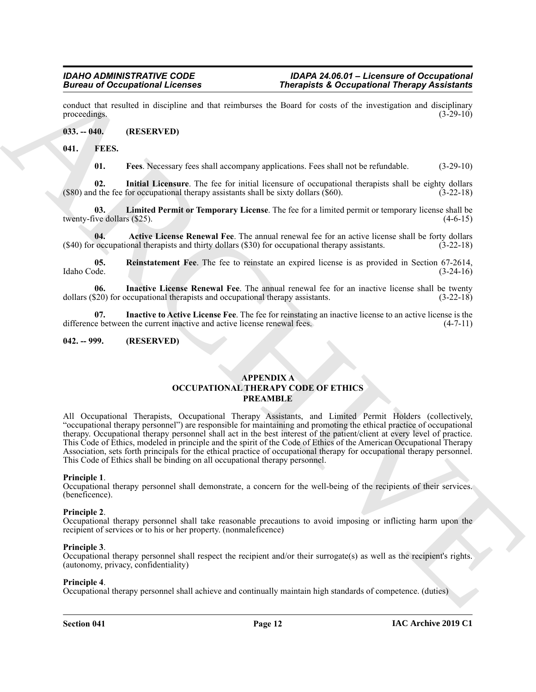conduct that resulted in discipline and that reimburses the Board for costs of the investigation and disciplinary<br>(3-29-10)<br>(3-29-10) proceedings.

#### <span id="page-11-0"></span>**033. -- 040. (RESERVED)**

#### <span id="page-11-1"></span>**041. FEES.**

<span id="page-11-10"></span><span id="page-11-9"></span><span id="page-11-6"></span><span id="page-11-4"></span>**01. Fees**. Necessary fees shall accompany applications. Fees shall not be refundable. (3-29-10)

**02. Initial Licensure**. The fee for initial licensure of occupational therapists shall be eighty dollars (\$80) and the fee for occupational therapy assistants shall be sixty dollars (\$60). (3-22-18)

**03. Limited Permit or Temporary License**. The fee for a limited permit or temporary license shall be twenty-five dollars  $(\$25)$ .  $(4-6-15)$ 

<span id="page-11-5"></span>**04. Active License Renewal Fee**. The annual renewal fee for an active license shall be forty dollars occupational therapists and thirty dollars (\$30) for occupational therapy assistants. (3-22-18)  $($ \$40) for occupational therapists and thirty dollars  $($ \$30) for occupational therapy assistants.

<span id="page-11-11"></span>**05. Reinstatement Fee**. The fee to reinstate an expired license is as provided in Section 67-2614, Idaho Code. (3-24-16)

<span id="page-11-7"></span>**06.** Inactive License Renewal Fee. The annual renewal fee for an inactive license shall be twenty (3-22-18) (3-22-18) dollars (\$20) for occupational therapists and occupational therapy assistants.

<span id="page-11-8"></span>**07. Inactive to Active License Fee**. The fee for reinstating an inactive license to an active license is the difference between the current inactive and active license renewal fees. (4-7-11)

#### <span id="page-11-2"></span>**042. -- 999. (RESERVED)**

#### <span id="page-11-3"></span>**APPENDIX A OCCUPATIONAL THERAPY CODE OF ETHICS PREAMBLE**

**Encore of Occupations I. Everythene B. Section 19. The spin-of the set of Contractions Theorem ARCHIVES procedure of the set of the set of the set of the set of the set of the set of the set of the set of the set of the** All Occupational Therapists, Occupational Therapy Assistants, and Limited Permit Holders (collectively, "occupational therapy personnel") are responsible for maintaining and promoting the ethical practice of occupational therapy. Occupational therapy personnel shall act in the best interest of the patient/client at every level of practice. This Code of Ethics, modeled in principle and the spirit of the Code of Ethics of the American Occupational Therapy Association, sets forth principals for the ethical practice of occupational therapy for occupational therapy personnel. This Code of Ethics shall be binding on all occupational therapy personnel.

#### **Principle 1**.

Occupational therapy personnel shall demonstrate, a concern for the well-being of the recipients of their services. (beneficence).

#### **Principle 2**.

Occupational therapy personnel shall take reasonable precautions to avoid imposing or inflicting harm upon the recipient of services or to his or her property. (nonmaleficence)

#### **Principle 3**.

Occupational therapy personnel shall respect the recipient and/or their surrogate(s) as well as the recipient's rights. (autonomy, privacy, confidentiality)

#### **Principle 4**.

Occupational therapy personnel shall achieve and continually maintain high standards of competence. (duties)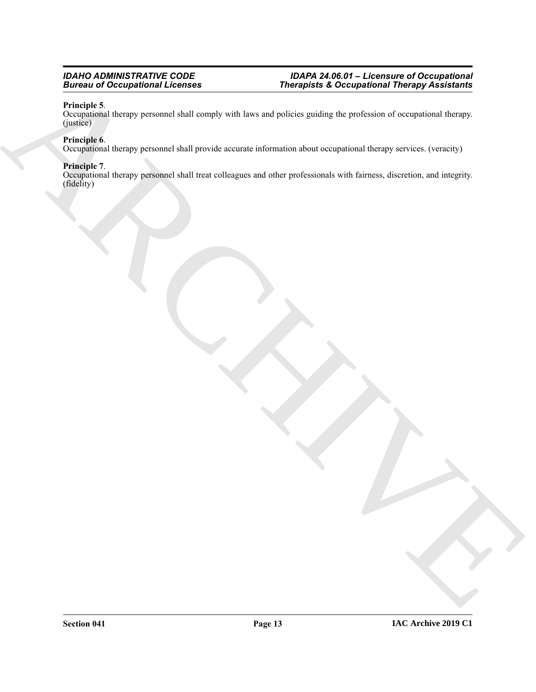#### **Principle 5**.

Biomaria de Ceccia présentat de la compte de la tempe de la compte de la compte de la compte de la compte de l<br>Conception de desay personnels de la compte de la compte de la compte de la procedure de la compte de la compte Occupational therapy personnel shall comply with laws and policies guiding the profession of occupational therapy. (justice)

#### **Principle 6**.

Occupational therapy personnel shall provide accurate information about occupational therapy services. (veracity)

#### **Principle 7**.

Occupational therapy personnel shall treat colleagues and other professionals with fairness, discretion, and integrity. (fidelity)